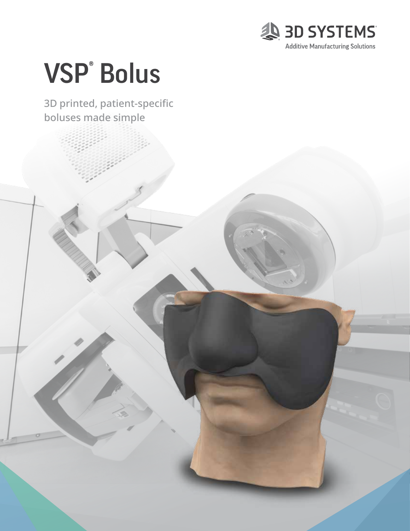

# VSP® Bolus

### 3D printed, patient-specific boluses made simple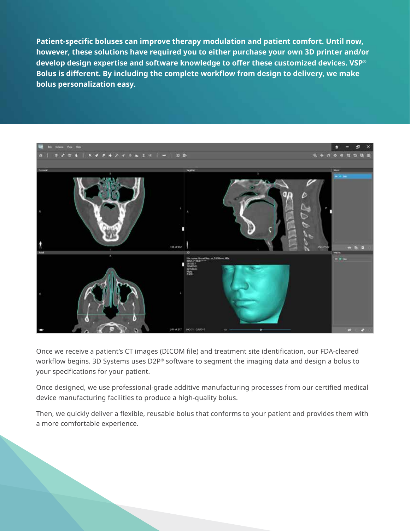**Patient-specific boluses can improve therapy modulation and patient comfort. Until now, however, these solutions have required you to either purchase your own 3D printer and/or develop design expertise and software knowledge to offer these customized devices. VSP® Bolus is different. By including the complete workflow from design to delivery, we make bolus personalization easy.**



Once we receive a patient's CT images (DICOM file) and treatment site identification, our FDA-cleared workflow begins. 3D Systems uses D2P® software to segment the imaging data and design a bolus to your specifications for your patient.

Once designed, we use professional-grade additive manufacturing processes from our certified medical device manufacturing facilities to produce a high-quality bolus.

Then, we quickly deliver a flexible, reusable bolus that conforms to your patient and provides them with a more comfortable experience.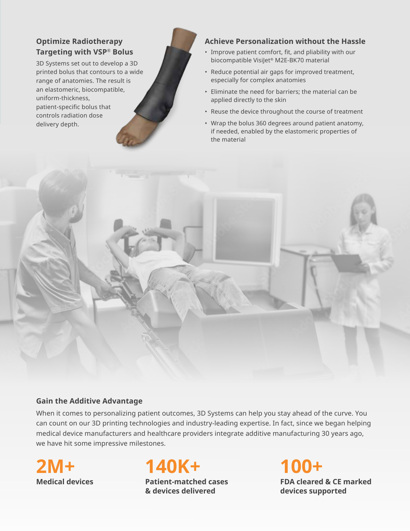#### **Optimize Radiotherapy Targeting with VSP® Bolus**

3D Systems set out to develop a 3D printed bolus that contours to a wide range of anatomies. The result is an elastomeric, biocompatible, uniform-thickness, patient-specific bolus that controls radiation dose delivery depth.

#### **Achieve Personalization without the Hassle**

- Improve patient comfort, fit, and pliability with our biocompatible VisiJet® M2E-BK70 material
- Reduce potential air gaps for improved treatment, especially for complex anatomies
- Eliminate the need for barriers; the material can be applied directly to the skin
- Reuse the device throughout the course of treatment
- Wrap the bolus 360 degrees around patient anatomy, if needed, enabled by the elastomeric properties of the material



#### **Gain the Additive Advantage**

When it comes to personalizing patient outcomes, 3D Systems can help you stay ahead of the curve. You can count on our 3D printing technologies and industry-leading expertise. In fact, since we began helping medical device manufacturers and healthcare providers integrate additive manufacturing 30 years ago, we have hit some impressive milestones.



**140K+**

**Patient-matched cases & devices delivered** 

**100+ FDA cleared & CE marked devices supported**